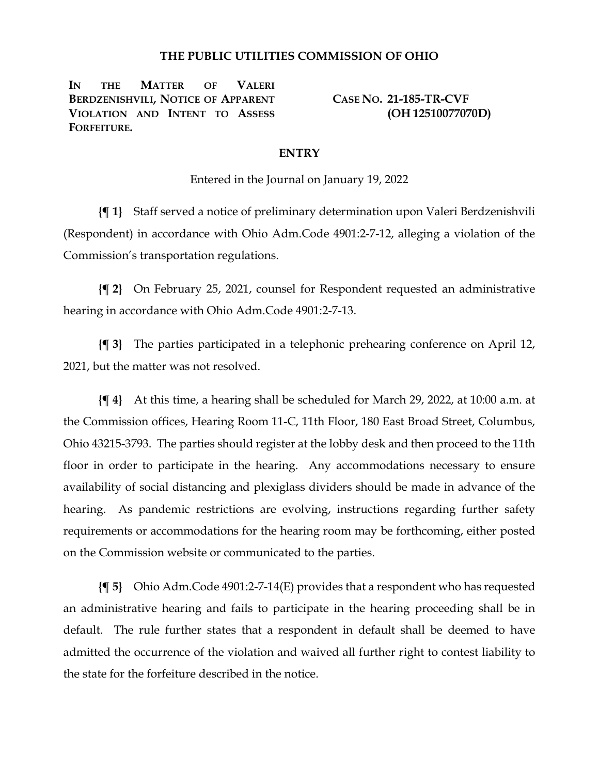### **THE PUBLIC UTILITIES COMMISSION OF OHIO**

**IN THE MATTER OF VALERI BERDZENISHVILI, NOTICE OF APPARENT VIOLATION AND INTENT TO ASSESS FORFEITURE.**

**CASE NO. 21-185-TR-CVF (OH 12510077070D)**

#### **ENTRY**

Entered in the Journal on January 19, 2022

**{¶ 1}** Staff served a notice of preliminary determination upon Valeri Berdzenishvili (Respondent) in accordance with Ohio Adm.Code 4901:2-7-12, alleging a violation of the Commission's transportation regulations.

**{¶ 2}** On February 25, 2021, counsel for Respondent requested an administrative hearing in accordance with Ohio Adm.Code 4901:2-7-13.

**{¶ 3}** The parties participated in a telephonic prehearing conference on April 12, 2021, but the matter was not resolved.

**{¶ 4}** At this time, a hearing shall be scheduled for March 29, 2022, at 10:00 a.m. at the Commission offices, Hearing Room 11-C, 11th Floor, 180 East Broad Street, Columbus, Ohio 43215-3793. The parties should register at the lobby desk and then proceed to the 11th floor in order to participate in the hearing. Any accommodations necessary to ensure availability of social distancing and plexiglass dividers should be made in advance of the hearing. As pandemic restrictions are evolving, instructions regarding further safety requirements or accommodations for the hearing room may be forthcoming, either posted on the Commission website or communicated to the parties.

**{¶ 5}** Ohio Adm.Code 4901:2-7-14(E) provides that a respondent who has requested an administrative hearing and fails to participate in the hearing proceeding shall be in default. The rule further states that a respondent in default shall be deemed to have admitted the occurrence of the violation and waived all further right to contest liability to the state for the forfeiture described in the notice.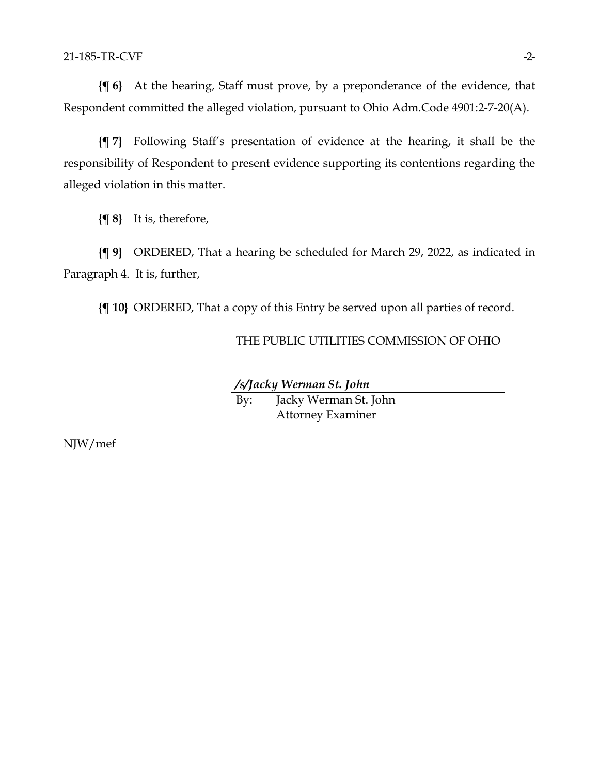**{¶ 6}** At the hearing, Staff must prove, by a preponderance of the evidence, that Respondent committed the alleged violation, pursuant to Ohio Adm.Code 4901:2-7-20(A).

**{¶ 7}** Following Staff's presentation of evidence at the hearing, it shall be the responsibility of Respondent to present evidence supporting its contentions regarding the alleged violation in this matter.

**{¶ 8}** It is, therefore,

**{¶ 9}** ORDERED, That a hearing be scheduled for March 29, 2022, as indicated in Paragraph 4. It is, further,

**{¶ 10}** ORDERED, That a copy of this Entry be served upon all parties of record.

### THE PUBLIC UTILITIES COMMISSION OF OHIO

### */s/Jacky Werman St. John*

By: Jacky Werman St. John Attorney Examiner

NJW/mef